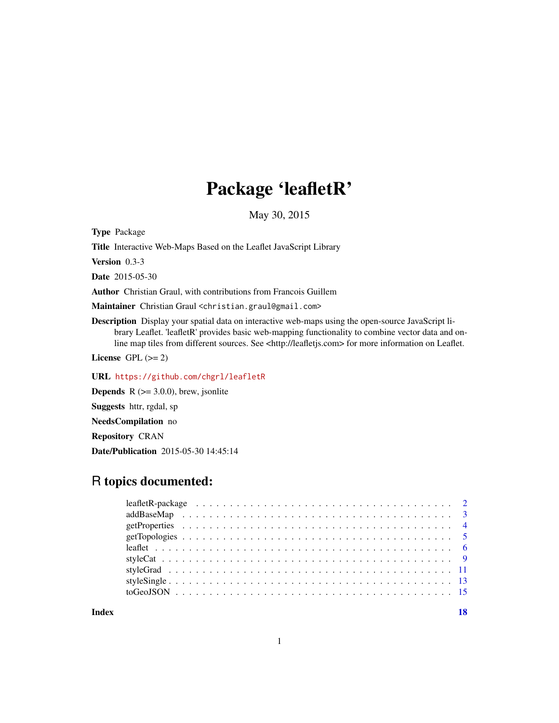# Package 'leafletR'

May 30, 2015

Type Package

Title Interactive Web-Maps Based on the Leaflet JavaScript Library

Version 0.3-3

Date 2015-05-30

Author Christian Graul, with contributions from Francois Guillem

Maintainer Christian Graul <christian.graul@gmail.com>

Description Display your spatial data on interactive web-maps using the open-source JavaScript library Leaflet. 'leafletR' provides basic web-mapping functionality to combine vector data and online map tiles from different sources. See <http://leafletjs.com> for more information on Leaflet.

License GPL  $(>= 2)$ 

URL <https://github.com/chgrl/leafletR>

**Depends** R  $(>= 3.0.0)$ , brew, jsonlite

Suggests httr, rgdal, sp

NeedsCompilation no

Repository CRAN

Date/Publication 2015-05-30 14:45:14

# R topics documented:

**Index** 2008 **[18](#page-17-0)**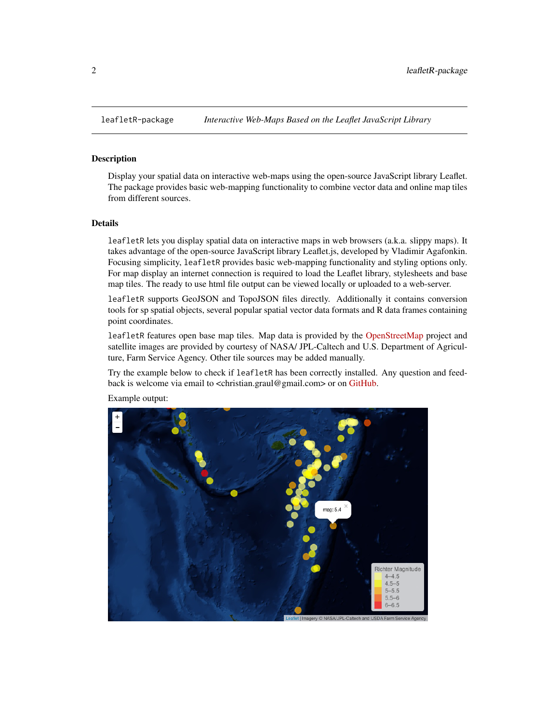<span id="page-1-0"></span>

#### Description

Display your spatial data on interactive web-maps using the open-source JavaScript library Leaflet. The package provides basic web-mapping functionality to combine vector data and online map tiles from different sources.

#### Details

leafletR lets you display spatial data on interactive maps in web browsers (a.k.a. slippy maps). It takes advantage of the open-source JavaScript library Leaflet.js, developed by Vladimir Agafonkin. Focusing simplicity, leafletR provides basic web-mapping functionality and styling options only. For map display an internet connection is required to load the Leaflet library, stylesheets and base map tiles. The ready to use html file output can be viewed locally or uploaded to a web-server.

leafletR supports GeoJSON and TopoJSON files directly. Additionally it contains conversion tools for sp spatial objects, several popular spatial vector data formats and R data frames containing point coordinates.

leafletR features open base map tiles. Map data is provided by the [OpenStreetMap](http://www.openstreetmap.org) project and satellite images are provided by courtesy of NASA/ JPL-Caltech and U.S. Department of Agriculture, Farm Service Agency. Other tile sources may be added manually.

Try the example below to check if leafletR has been correctly installed. Any question and feed-back is welcome via email to <christian.graul@gmail.com> or on [GitHub.](https://github.com/chgrl/leafletR)



Example output: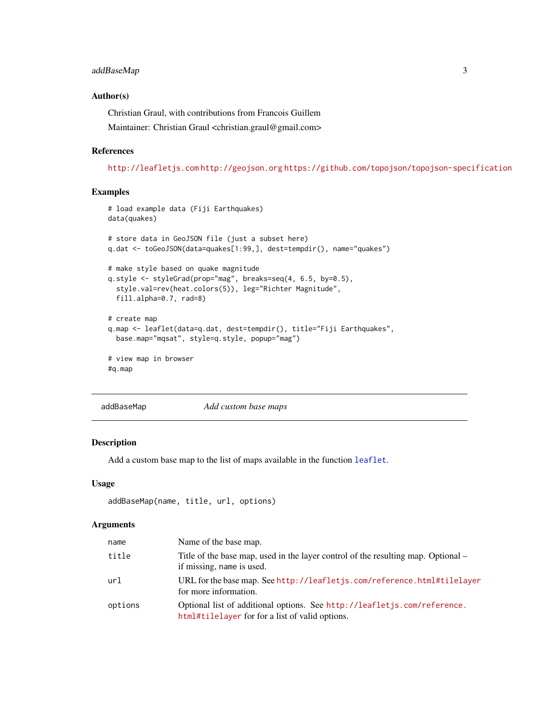#### <span id="page-2-0"></span>addBaseMap 3

# Author(s)

Christian Graul, with contributions from Francois Guillem Maintainer: Christian Graul <christian.graul@gmail.com>

#### References

<http://leafletjs.com> <http://geojson.org> <https://github.com/topojson/topojson-specification>

#### Examples

```
# load example data (Fiji Earthquakes)
data(quakes)
# store data in GeoJSON file (just a subset here)
q.dat <- toGeoJSON(data=quakes[1:99,], dest=tempdir(), name="quakes")
# make style based on quake magnitude
q.style <- styleGrad(prop="mag", breaks=seq(4, 6.5, by=0.5),
 style.val=rev(heat.colors(5)), leg="Richter Magnitude",
 fill.alpha=0.7, rad=8)
# create map
q.map <- leaflet(data=q.dat, dest=tempdir(), title="Fiji Earthquakes",
 base.map="mqsat", style=q.style, popup="mag")
# view map in browser
#q.map
```
addBaseMap *Add custom base maps*

#### Description

Add a custom base map to the list of maps available in the function [leaflet](#page-5-1).

#### Usage

```
addBaseMap(name, title, url, options)
```
#### Arguments

| name    | Name of the base map.                                                                                                       |
|---------|-----------------------------------------------------------------------------------------------------------------------------|
| title   | Title of the base map, used in the layer control of the resulting map. Optional –<br>if missing, name is used.              |
| url     | URL for the base map. See http://leafletjs.com/reference.html#tilelayer<br>for more information.                            |
| options | Optional list of additional options. See http://leafletjs.com/reference.<br>html#tilelayer for for a list of valid options. |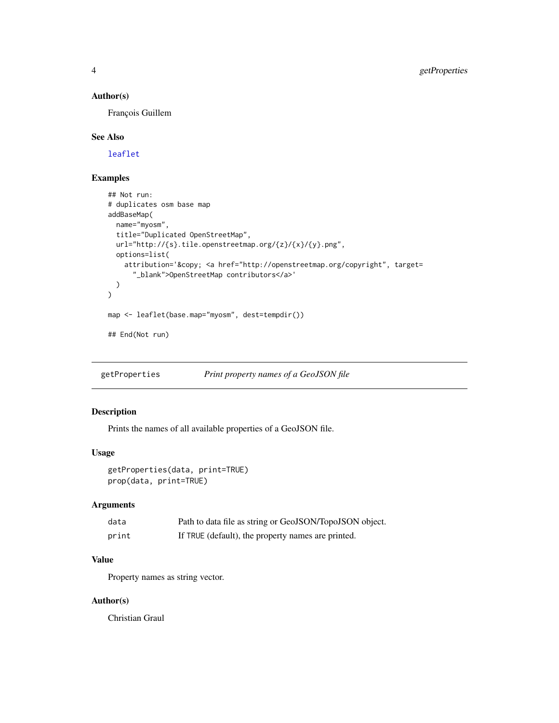# <span id="page-3-0"></span>Author(s)

François Guillem

### See Also

[leaflet](#page-5-1)

### Examples

```
## Not run:
# duplicates osm base map
addBaseMap(
 name="myosm",
  title="Duplicated OpenStreetMap",
  url="http://{s}.tile.openstreetmap.org/{z}/{x}/{y}.png",
  options=list(
    attribution='© <a href="http://openstreetmap.org/copyright", target=
      "_blank">OpenStreetMap contributors</a>'
  )
\mathcal{L}map <- leaflet(base.map="myosm", dest=tempdir())
## End(Not run)
```
getProperties *Print property names of a GeoJSON file*

# Description

Prints the names of all available properties of a GeoJSON file.

# Usage

```
getProperties(data, print=TRUE)
prop(data, print=TRUE)
```
# Arguments

| data  | Path to data file as string or GeoJSON/TopoJSON object. |
|-------|---------------------------------------------------------|
| print | If TRUE (default), the property names are printed.      |

# Value

Property names as string vector.

# Author(s)

Christian Graul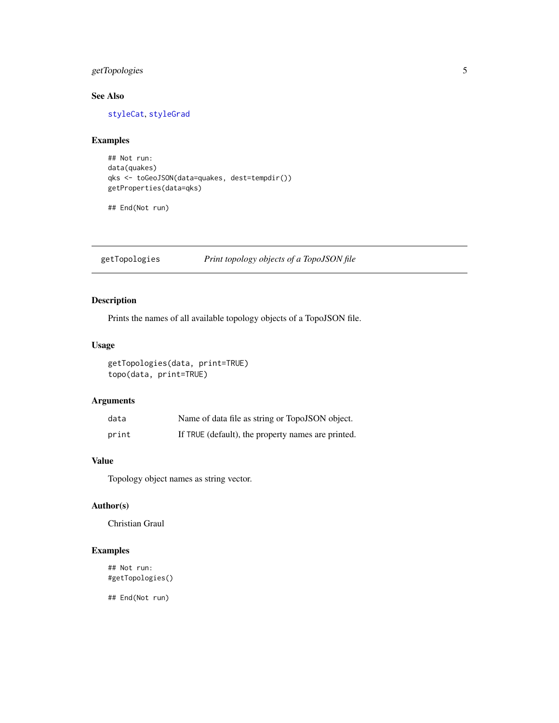# <span id="page-4-0"></span>getTopologies 5

# See Also

[styleCat](#page-8-1), [styleGrad](#page-10-1)

# Examples

```
## Not run:
data(quakes)
qks <- toGeoJSON(data=quakes, dest=tempdir())
getProperties(data=qks)
```
## End(Not run)

getTopologies *Print topology objects of a TopoJSON file*

# Description

Prints the names of all available topology objects of a TopoJSON file.

# Usage

getTopologies(data, print=TRUE) topo(data, print=TRUE)

# Arguments

| data  | Name of data file as string or TopoJSON object.    |
|-------|----------------------------------------------------|
| print | If TRUE (default), the property names are printed. |

# Value

Topology object names as string vector.

#### Author(s)

Christian Graul

# Examples

## Not run: #getTopologies()

## End(Not run)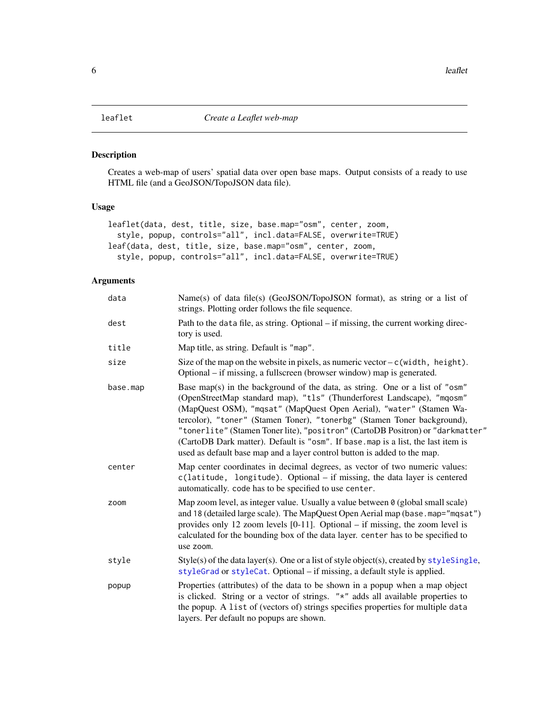# <span id="page-5-1"></span><span id="page-5-0"></span>Description

Creates a web-map of users' spatial data over open base maps. Output consists of a ready to use HTML file (and a GeoJSON/TopoJSON data file).

# Usage

```
leaflet(data, dest, title, size, base.map="osm", center, zoom,
  style, popup, controls="all", incl.data=FALSE, overwrite=TRUE)
leaf(data, dest, title, size, base.map="osm", center, zoom,
  style, popup, controls="all", incl.data=FALSE, overwrite=TRUE)
```
# Arguments

| data     | Name(s) of data file(s) (GeoJSON/TopoJSON format), as string or a list of<br>strings. Plotting order follows the file sequence.                                                                                                                                                                                                                                                                                                                                                                                                                           |
|----------|-----------------------------------------------------------------------------------------------------------------------------------------------------------------------------------------------------------------------------------------------------------------------------------------------------------------------------------------------------------------------------------------------------------------------------------------------------------------------------------------------------------------------------------------------------------|
| dest     | Path to the data file, as string. Optional – if missing, the current working direc-<br>tory is used.                                                                                                                                                                                                                                                                                                                                                                                                                                                      |
| title    | Map title, as string. Default is "map".                                                                                                                                                                                                                                                                                                                                                                                                                                                                                                                   |
| size     | Size of the map on the website in pixels, as numeric vector $-c$ (width, height).<br>Optional – if missing, a fullscreen (browser window) map is generated.                                                                                                                                                                                                                                                                                                                                                                                               |
| base.map | Base map(s) in the background of the data, as string. One or a list of "osm"<br>(OpenStreetMap standard map), "tls" (Thunderforest Landscape), "mqosm"<br>(MapQuest OSM), "mqsat" (MapQuest Open Aerial), "water" (Stamen Wa-<br>tercolor), "toner" (Stamen Toner), "tonerbg" (Stamen Toner background),<br>"tonerlite" (Stamen Tonerlite), "positron" (CartoDB Positron) or "darkmatter"<br>(CartoDB Dark matter). Default is "osm". If base map is a list, the last item is<br>used as default base map and a layer control button is added to the map. |
| center   | Map center coordinates in decimal degrees, as vector of two numeric values:<br>$c(latitude, longitude)$ . Optional – if missing, the data layer is centered<br>automatically. code has to be specified to use center.                                                                                                                                                                                                                                                                                                                                     |
| zoom     | Map zoom level, as integer value. Usually a value between 0 (global small scale)<br>and 18 (detailed large scale). The MapQuest Open Aerial map (base.map="mqsat")<br>provides only 12 zoom levels $[0-11]$ . Optional – if missing, the zoom level is<br>calculated for the bounding box of the data layer. center has to be specified to<br>use zoom.                                                                                                                                                                                                   |
| style    | $Style(s)$ of the data layer(s). One or a list of style object(s), created by $styleSingle,$<br>styleGrad or styleCat. Optional – if missing, a default style is applied.                                                                                                                                                                                                                                                                                                                                                                                 |
| popup    | Properties (attributes) of the data to be shown in a popup when a map object<br>is clicked. String or a vector of strings. "*" adds all available properties to<br>the popup. A list of (vectors of) strings specifies properties for multiple data<br>layers. Per default no popups are shown.                                                                                                                                                                                                                                                           |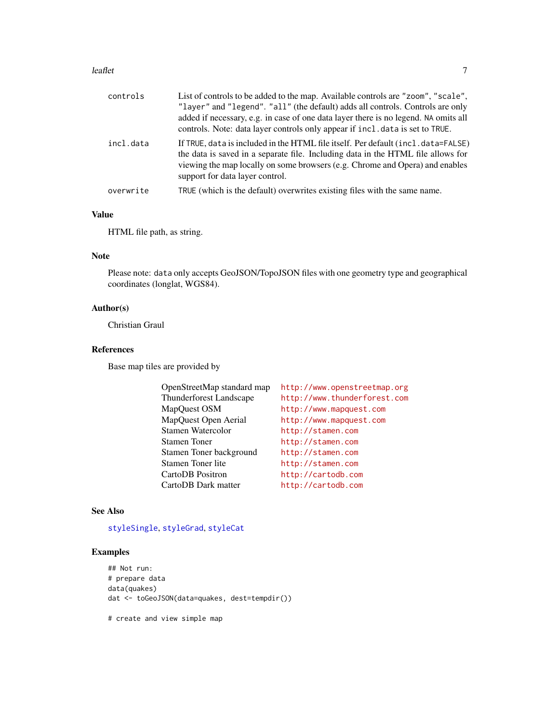#### <span id="page-6-0"></span>leaflet **2008 leaflet** 7

| controls  | List of controls to be added to the map. Available controls are "zoom", "scale",<br>"layer" and "legend". "all" (the default) adds all controls. Controls are only<br>added if necessary, e.g. in case of one data layer there is no legend. NA omits all<br>controls. Note: data layer controls only appear if incl. data is set to TRUE. |
|-----------|--------------------------------------------------------------------------------------------------------------------------------------------------------------------------------------------------------------------------------------------------------------------------------------------------------------------------------------------|
| incl.data | If TRUE, data is included in the HTML file itself. Per default (incl. data=FALSE)<br>the data is saved in a separate file. Including data in the HTML file allows for<br>viewing the map locally on some browsers (e.g. Chrome and Opera) and enables<br>support for data layer control.                                                   |
| overwrite | TRUE (which is the default) overwrites existing files with the same name.                                                                                                                                                                                                                                                                  |
|           |                                                                                                                                                                                                                                                                                                                                            |

# Value

HTML file path, as string.

# Note

Please note: data only accepts GeoJSON/TopoJSON files with one geometry type and geographical coordinates (longlat, WGS84).

# Author(s)

Christian Graul

# References

Base map tiles are provided by

| OpenStreetMap standard map | http://www.openstreetmap.org |
|----------------------------|------------------------------|
| Thunderforest Landscape    | http://www.thunderforest.com |
| MapQuest OSM               | http://www.mapquest.com      |
| MapQuest Open Aerial       | http://www.mapquest.com      |
| Stamen Watercolor          | http://stamen.com            |
| <b>Stamen Toner</b>        | http://stamen.com            |
| Stamen Toner background    | http://stamen.com            |
| Stamen Toner lite          | http://stamen.com            |
| CartoDB Positron           | http://cartodb.com           |
| CartoDB Dark matter        | http://cartodb.com           |

#### See Also

# [styleSingle](#page-12-1), [styleGrad](#page-10-1), [styleCat](#page-8-1)

#### Examples

```
## Not run:
# prepare data
data(quakes)
dat <- toGeoJSON(data=quakes, dest=tempdir())
```
# create and view simple map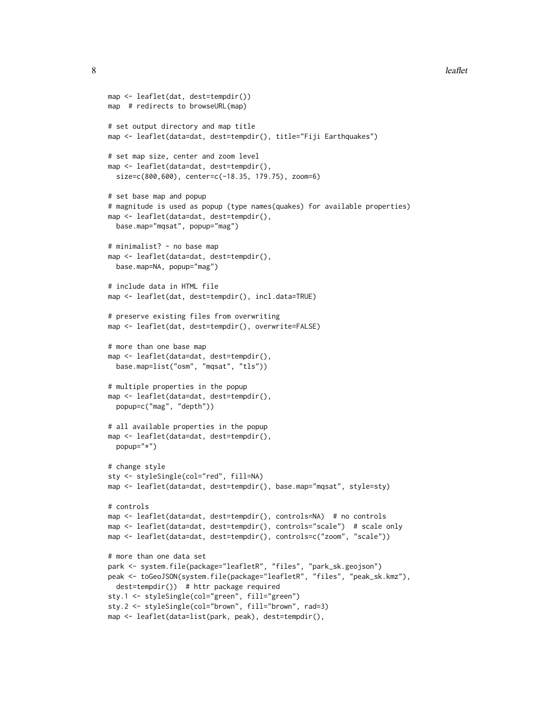```
8 leaflet
```

```
map <- leaflet(dat, dest=tempdir())
map # redirects to browseURL(map)
# set output directory and map title
map <- leaflet(data=dat, dest=tempdir(), title="Fiji Earthquakes")
# set map size, center and zoom level
map <- leaflet(data=dat, dest=tempdir(),
  size=c(800,600), center=c(-18.35, 179.75), zoom=6)
# set base map and popup
# magnitude is used as popup (type names(quakes) for available properties)
map <- leaflet(data=dat, dest=tempdir(),
  base.map="mqsat", popup="mag")
# minimalist? - no base map
map <- leaflet(data=dat, dest=tempdir(),
  base.map=NA, popup="mag")
# include data in HTML file
map <- leaflet(dat, dest=tempdir(), incl.data=TRUE)
# preserve existing files from overwriting
map <- leaflet(dat, dest=tempdir(), overwrite=FALSE)
# more than one base map
map <- leaflet(data=dat, dest=tempdir(),
  base.map=list("osm", "mqsat", "tls"))
# multiple properties in the popup
map <- leaflet(data=dat, dest=tempdir(),
  popup=c("mag", "depth"))
# all available properties in the popup
map <- leaflet(data=dat, dest=tempdir(),
  popup="*")
# change style
sty <- styleSingle(col="red", fill=NA)
map <- leaflet(data=dat, dest=tempdir(), base.map="mqsat", style=sty)
# controls
map <- leaflet(data=dat, dest=tempdir(), controls=NA) # no controls
map <- leaflet(data=dat, dest=tempdir(), controls="scale") # scale only
map <- leaflet(data=dat, dest=tempdir(), controls=c("zoom", "scale"))
# more than one data set
park <- system.file(package="leafletR", "files", "park_sk.geojson")
peak <- toGeoJSON(system.file(package="leafletR", "files", "peak_sk.kmz"),
  dest=tempdir()) # httr package required
sty.1 <- styleSingle(col="green", fill="green")
sty.2 <- styleSingle(col="brown", fill="brown", rad=3)
map <- leaflet(data=list(park, peak), dest=tempdir(),
```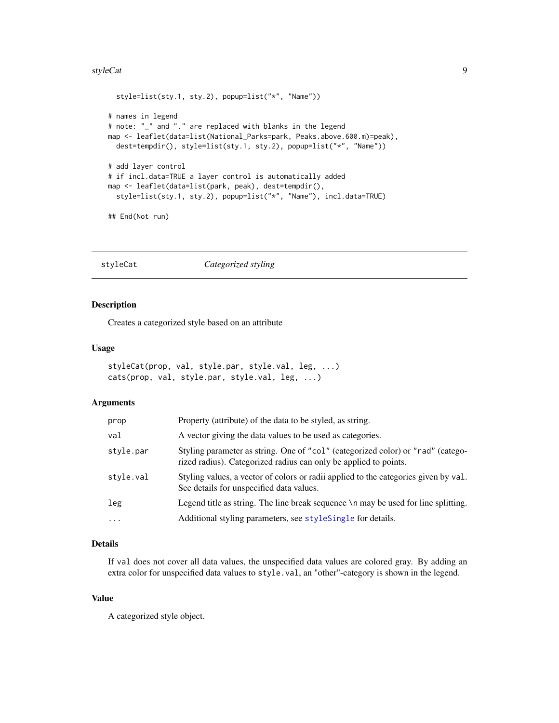#### <span id="page-8-0"></span>styleCat 9

```
style=list(sty.1, sty.2), popup=list("*", "Name"))
# names in legend
# note: "_" and "." are replaced with blanks in the legend
map <- leaflet(data=list(National_Parks=park, Peaks.above.600.m)=peak),
  dest=tempdir(), style=list(sty.1, sty.2), popup=list("*", "Name"))
# add layer control
# if incl.data=TRUE a layer control is automatically added
map <- leaflet(data=list(park, peak), dest=tempdir(),
  style=list(sty.1, sty.2), popup=list("*", "Name"), incl.data=TRUE)
## End(Not run)
```
<span id="page-8-1"></span>styleCat *Categorized styling*

#### Description

Creates a categorized style based on an attribute

#### Usage

```
styleCat(prop, val, style.par, style.val, leg, ...)
cats(prop, val, style.par, style.val, leg, ...)
```
# Arguments

| prop      | Property (attribute) of the data to be styled, as string.                                                                                           |
|-----------|-----------------------------------------------------------------------------------------------------------------------------------------------------|
| val       | A vector giving the data values to be used as categories.                                                                                           |
| style.par | Styling parameter as string. One of "col" (categorized color) or "rad" (catego-<br>rized radius). Categorized radius can only be applied to points. |
| style.val | Styling values, a vector of colors or radii applied to the categories given by val.<br>See details for unspecified data values.                     |
| leg       | Legend title as string. The line break sequence \n may be used for line splitting.                                                                  |
| $\cdots$  | Additional styling parameters, see styleSingle for details.                                                                                         |

#### Details

If val does not cover all data values, the unspecified data values are colored gray. By adding an extra color for unspecified data values to style.val, an "other"-category is shown in the legend.

# Value

A categorized style object.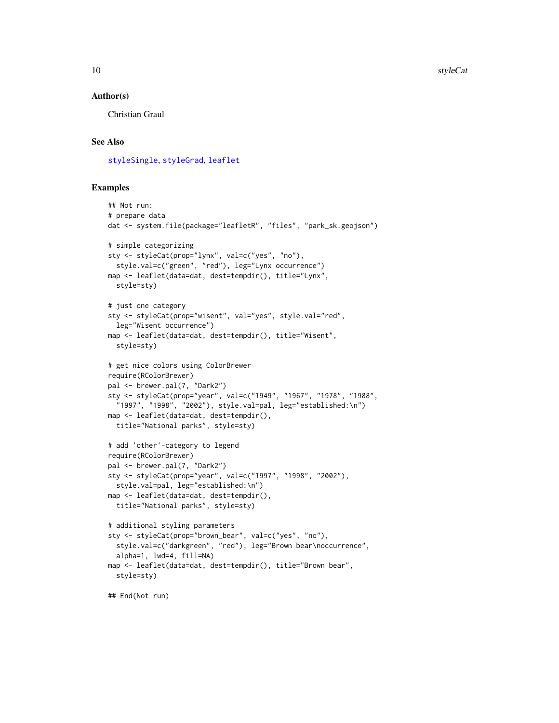#### <span id="page-9-0"></span>Author(s)

Christian Graul

#### See Also

[styleSingle](#page-12-1), [styleGrad](#page-10-1), [leaflet](#page-5-1)

```
## Not run:
# prepare data
dat <- system.file(package="leafletR", "files", "park_sk.geojson")
# simple categorizing
sty <- styleCat(prop="lynx", val=c("yes", "no"),
  style.val=c("green", "red"), leg="Lynx occurrence")
map <- leaflet(data=dat, dest=tempdir(), title="Lynx",
  style=sty)
# just one category
sty <- styleCat(prop="wisent", val="yes", style.val="red",
  leg="Wisent occurrence")
map <- leaflet(data=dat, dest=tempdir(), title="Wisent",
  style=sty)
# get nice colors using ColorBrewer
require(RColorBrewer)
pal <- brewer.pal(7, "Dark2")
sty <- styleCat(prop="year", val=c("1949", "1967", "1978", "1988",
  "1997", "1998", "2002"), style.val=pal, leg="established:\n")
map <- leaflet(data=dat, dest=tempdir(),
  title="National parks", style=sty)
# add 'other'-category to legend
require(RColorBrewer)
pal <- brewer.pal(7, "Dark2")
sty <- styleCat(prop="year", val=c("1997", "1998", "2002"),
  style.val=pal, leg="established:\n")
map <- leaflet(data=dat, dest=tempdir(),
  title="National parks", style=sty)
# additional styling parameters
sty <- styleCat(prop="brown_bear", val=c("yes", "no"),
  style.val=c("darkgreen", "red"), leg="Brown bear\noccurrence",
  alpha=1, lwd=4, fill=NA)
map <- leaflet(data=dat, dest=tempdir(), title="Brown bear",
  style=sty)
## End(Not run)
```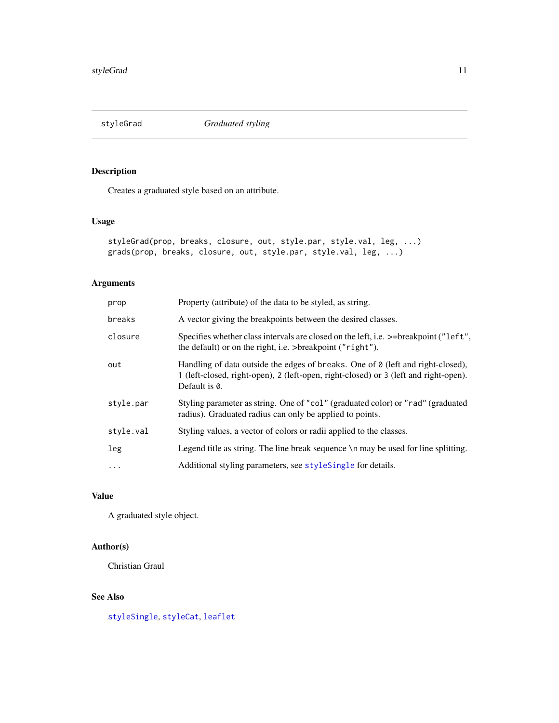<span id="page-10-1"></span><span id="page-10-0"></span>styleGrad *Graduated styling*

# Description

Creates a graduated style based on an attribute.

# Usage

```
styleGrad(prop, breaks, closure, out, style.par, style.val, leg, ...)
grads(prop, breaks, closure, out, style.par, style.val, leg, ...)
```
# Arguments

| prop      | Property (attribute) of the data to be styled, as string.                                                                                                                                |
|-----------|------------------------------------------------------------------------------------------------------------------------------------------------------------------------------------------|
| breaks    | A vector giving the breakpoints between the desired classes.                                                                                                                             |
| closure   | Specifies whether class intervals are closed on the left, i.e. $\ge$ =breakpoint ("left",<br>the default) or on the right, i.e. >breakpoint ("right").                                   |
| out       | Handling of data outside the edges of breaks. One of 0 (left and right-closed),<br>1 (left-closed, right-open), 2 (left-open, right-closed) or 3 (left and right-open).<br>Default is 0. |
| style.par | Styling parameter as string. One of "col" (graduated color) or "rad" (graduated<br>radius). Graduated radius can only be applied to points.                                              |
| style.val | Styling values, a vector of colors or radii applied to the classes.                                                                                                                      |
| leg       | Legend title as string. The line break sequence $\ln$ may be used for line splitting.                                                                                                    |
| $\cdots$  | Additional styling parameters, see styleSingle for details.                                                                                                                              |
|           |                                                                                                                                                                                          |

# Value

A graduated style object.

# Author(s)

Christian Graul

# See Also

[styleSingle](#page-12-1), [styleCat](#page-8-1), [leaflet](#page-5-1)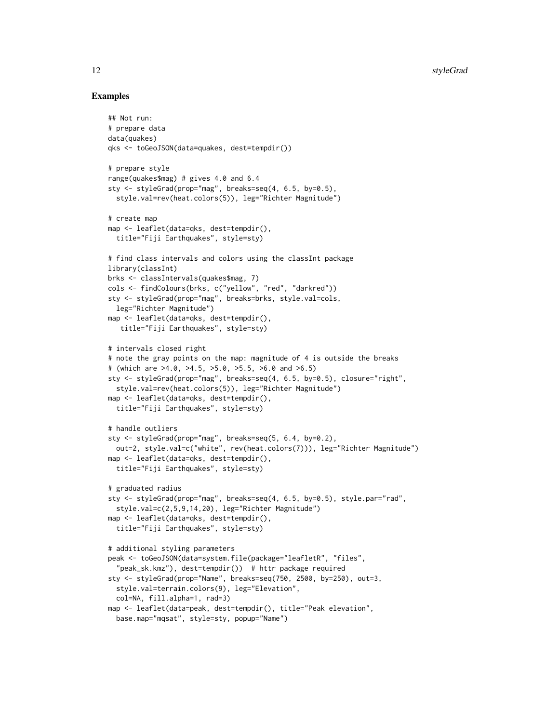```
## Not run:
# prepare data
data(quakes)
qks <- toGeoJSON(data=quakes, dest=tempdir())
# prepare style
range(quakes$mag) # gives 4.0 and 6.4
sty <- styleGrad(prop="mag", breaks=seq(4, 6.5, by=0.5),
  style.val=rev(heat.colors(5)), leg="Richter Magnitude")
# create map
map <- leaflet(data=qks, dest=tempdir(),
  title="Fiji Earthquakes", style=sty)
# find class intervals and colors using the classInt package
library(classInt)
brks <- classIntervals(quakes$mag, 7)
cols <- findColours(brks, c("yellow", "red", "darkred"))
sty <- styleGrad(prop="mag", breaks=brks, style.val=cols,
  leg="Richter Magnitude")
map <- leaflet(data=qks, dest=tempdir(),
   title="Fiji Earthquakes", style=sty)
# intervals closed right
# note the gray points on the map: magnitude of 4 is outside the breaks
# (which are >4.0, >4.5, >5.0, >5.5, >6.0 and >6.5)
sty <- styleGrad(prop="mag", breaks=seq(4, 6.5, by=0.5), closure="right",
  style.val=rev(heat.colors(5)), leg="Richter Magnitude")
map <- leaflet(data=qks, dest=tempdir(),
  title="Fiji Earthquakes", style=sty)
# handle outliers
sty <- styleGrad(prop="mag", breaks=seq(5, 6.4, by=0.2),
  out=2, style.val=c("white", rev(heat.colors(7))), leg="Richter Magnitude")
map <- leaflet(data=qks, dest=tempdir(),
  title="Fiji Earthquakes", style=sty)
# graduated radius
sty <- styleGrad(prop="mag", breaks=seq(4, 6.5, by=0.5), style.par="rad",
  style.val=c(2,5,9,14,20), leg="Richter Magnitude")
map <- leaflet(data=qks, dest=tempdir(),
  title="Fiji Earthquakes", style=sty)
# additional styling parameters
peak <- toGeoJSON(data=system.file(package="leafletR", "files",
  "peak_sk.kmz"), dest=tempdir()) # httr package required
sty <- styleGrad(prop="Name", breaks=seq(750, 2500, by=250), out=3,
  style.val=terrain.colors(9), leg="Elevation",
  col=NA, fill.alpha=1, rad=3)
map <- leaflet(data=peak, dest=tempdir(), title="Peak elevation",
  base.map="mqsat", style=sty, popup="Name")
```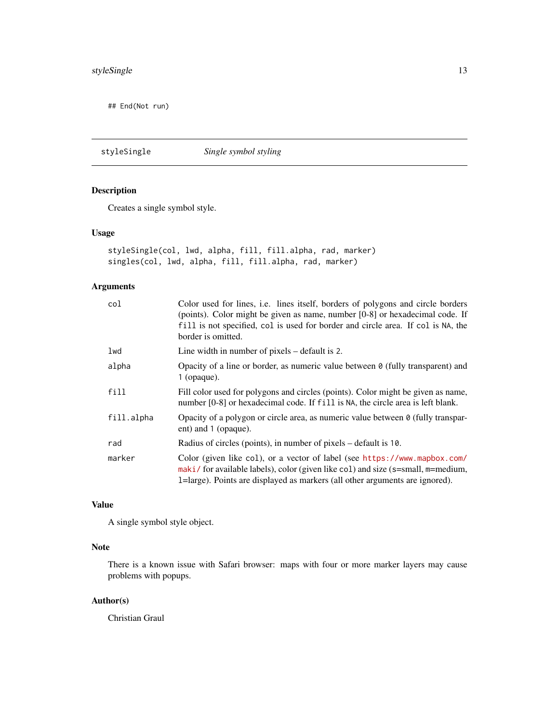<span id="page-12-0"></span>## End(Not run)

<span id="page-12-1"></span>styleSingle *Single symbol styling*

# Description

Creates a single symbol style.

# Usage

```
styleSingle(col, lwd, alpha, fill, fill.alpha, rad, marker)
singles(col, lwd, alpha, fill, fill.alpha, rad, marker)
```
# Arguments

| col        | Color used for lines, i.e. lines itself, borders of polygons and circle borders<br>(points). Color might be given as name, number [0-8] or hexadecimal code. If<br>fill is not specified, col is used for border and circle area. If col is NA, the<br>border is omitted. |
|------------|---------------------------------------------------------------------------------------------------------------------------------------------------------------------------------------------------------------------------------------------------------------------------|
| lwd        | Line width in number of pixels – default is 2.                                                                                                                                                                                                                            |
| alpha      | Opacity of a line or border, as numeric value between $\theta$ (fully transparent) and<br>$1$ (opaque).                                                                                                                                                                   |
| fill       | Fill color used for polygons and circles (points). Color might be given as name,<br>number [0-8] or hexadecimal code. If fill is NA, the circle area is left blank.                                                                                                       |
| fill.alpha | Opacity of a polygon or circle area, as numeric value between 0 (fully transpar-<br>ent) and 1 (opaque).                                                                                                                                                                  |
| rad        | Radius of circles (points), in number of pixels – default is 10.                                                                                                                                                                                                          |
| marker     | Color (given like col), or a vector of label (see https://www.mapbox.com/<br>maki/ for available labels), color (given like col) and size (s=small, m=medium,<br>1=large). Points are displayed as markers (all other arguments are ignored).                             |

# Value

A single symbol style object.

# Note

There is a known issue with Safari browser: maps with four or more marker layers may cause problems with popups.

# Author(s)

Christian Graul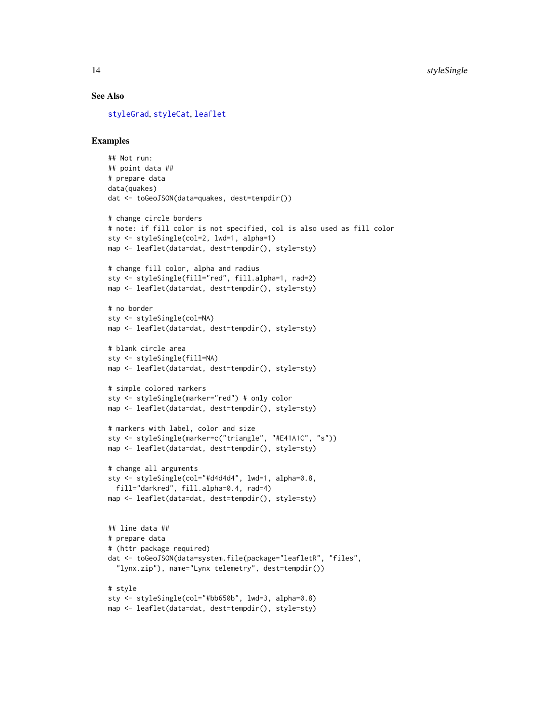#### <span id="page-13-0"></span>See Also

[styleGrad](#page-10-1), [styleCat](#page-8-1), [leaflet](#page-5-1)

```
## Not run:
## point data ##
# prepare data
data(quakes)
dat <- toGeoJSON(data=quakes, dest=tempdir())
# change circle borders
# note: if fill color is not specified, col is also used as fill color
sty <- styleSingle(col=2, lwd=1, alpha=1)
map <- leaflet(data=dat, dest=tempdir(), style=sty)
# change fill color, alpha and radius
sty <- styleSingle(fill="red", fill.alpha=1, rad=2)
map <- leaflet(data=dat, dest=tempdir(), style=sty)
# no border
sty <- styleSingle(col=NA)
map <- leaflet(data=dat, dest=tempdir(), style=sty)
# blank circle area
sty <- styleSingle(fill=NA)
map <- leaflet(data=dat, dest=tempdir(), style=sty)
# simple colored markers
sty <- styleSingle(marker="red") # only color
map <- leaflet(data=dat, dest=tempdir(), style=sty)
# markers with label, color and size
sty <- styleSingle(marker=c("triangle", "#E41A1C", "s"))
map <- leaflet(data=dat, dest=tempdir(), style=sty)
# change all arguments
sty <- styleSingle(col="#d4d4d4", lwd=1, alpha=0.8,
  fill="darkred", fill.alpha=0.4, rad=4)
map <- leaflet(data=dat, dest=tempdir(), style=sty)
## line data ##
# prepare data
# (httr package required)
dat <- toGeoJSON(data=system.file(package="leafletR", "files",
  "lynx.zip"), name="Lynx telemetry", dest=tempdir())
# style
sty <- styleSingle(col="#bb650b", lwd=3, alpha=0.8)
map <- leaflet(data=dat, dest=tempdir(), style=sty)
```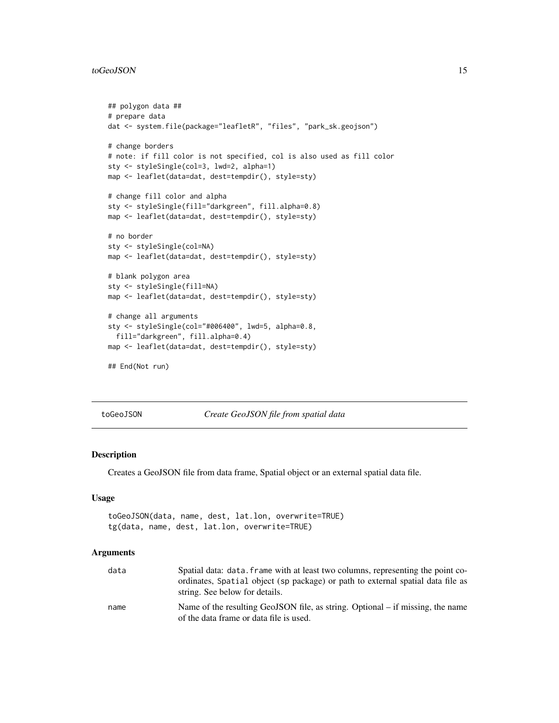#### <span id="page-14-0"></span>toGeoJSON and the state of the state of the state of the state of the state of the state of the state of the state of the state of the state of the state of the state of the state of the state of the state of the state of

```
## polygon data ##
# prepare data
dat <- system.file(package="leafletR", "files", "park_sk.geojson")
# change borders
# note: if fill color is not specified, col is also used as fill color
sty <- styleSingle(col=3, lwd=2, alpha=1)
map <- leaflet(data=dat, dest=tempdir(), style=sty)
# change fill color and alpha
sty <- styleSingle(fill="darkgreen", fill.alpha=0.8)
map <- leaflet(data=dat, dest=tempdir(), style=sty)
# no border
sty <- styleSingle(col=NA)
map <- leaflet(data=dat, dest=tempdir(), style=sty)
# blank polygon area
sty <- styleSingle(fill=NA)
map <- leaflet(data=dat, dest=tempdir(), style=sty)
# change all arguments
sty <- styleSingle(col="#006400", lwd=5, alpha=0.8,
  fill="darkgreen", fill.alpha=0.4)
map <- leaflet(data=dat, dest=tempdir(), style=sty)
## End(Not run)
```
toGeoJSON *Create GeoJSON file from spatial data*

#### Description

Creates a GeoJSON file from data frame, Spatial object or an external spatial data file.

#### Usage

```
toGeoJSON(data, name, dest, lat.lon, overwrite=TRUE)
tg(data, name, dest, lat.lon, overwrite=TRUE)
```
#### Arguments

| data | Spatial data: data. frame with at least two columns, representing the point co-<br>ordinates, Spatial object (sp package) or path to external spatial data file as<br>string. See below for details. |
|------|------------------------------------------------------------------------------------------------------------------------------------------------------------------------------------------------------|
| name | Name of the resulting GeoJSON file, as string. Optional – if missing, the name<br>of the data frame or data file is used.                                                                            |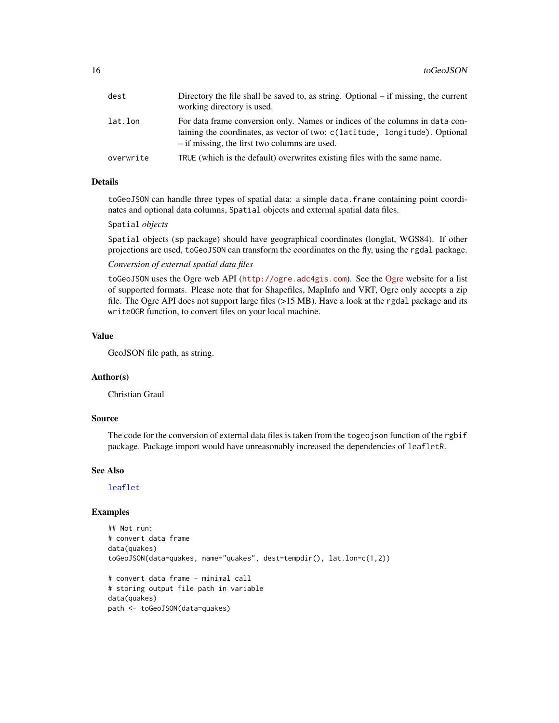<span id="page-15-0"></span>

| dest      | Directory the file shall be saved to, as string. Optional – if missing, the current<br>working directory is used.                                                                                            |
|-----------|--------------------------------------------------------------------------------------------------------------------------------------------------------------------------------------------------------------|
| lat.lon   | For data frame conversion only. Names or indices of the columns in data con-<br>taining the coordinates, as vector of two: c(latitude, longitude). Optional<br>- if missing, the first two columns are used. |
| overwrite | TRUE (which is the default) overwrites existing files with the same name.                                                                                                                                    |

# Details

toGeoJSON can handle three types of spatial data: a simple data.frame containing point coordinates and optional data columns, Spatial objects and external spatial data files.

#### Spatial *objects*

Spatial objects (sp package) should have geographical coordinates (longlat, WGS84). If other projections are used, toGeoJSON can transform the coordinates on the fly, using the rgdal package.

#### *Conversion of external spatial data files*

toGeoJSON uses the Ogre web API (<http://ogre.adc4gis.com>). See the [Ogre](http://ogre.adc4gis.com) website for a list of supported formats. Please note that for Shapefiles, MapInfo and VRT, Ogre only accepts a zip file. The Ogre API does not support large files (>15 MB). Have a look at the rgdal package and its writeOGR function, to convert files on your local machine.

# Value

GeoJSON file path, as string.

# Author(s)

Christian Graul

#### Source

The code for the conversion of external data files is taken from the togeojson function of the rgbif package. Package import would have unreasonably increased the dependencies of leafletR.

#### See Also

[leaflet](#page-5-1)

```
## Not run:
# convert data frame
data(quakes)
toGeoJSON(data=quakes, name="quakes", dest=tempdir(), lat.lon=c(1,2))
# convert data frame - minimal call
# storing output file path in variable
data(quakes)
path <- toGeoJSON(data=quakes)
```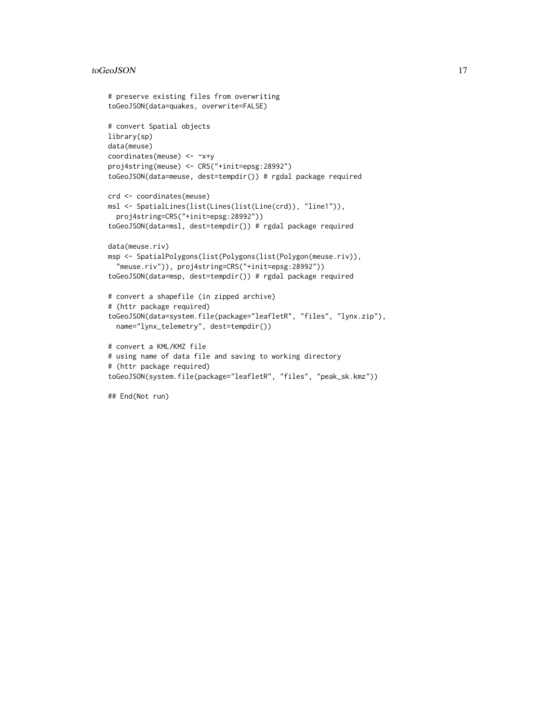#### toGeoJSON and the state of the state of the state of the state of the state of the state of the state of the state of the state of the state of the state of the state of the state of the state of the state of the state of

```
# preserve existing files from overwriting
toGeoJSON(data=quakes, overwrite=FALSE)
# convert Spatial objects
library(sp)
data(meuse)
coordinates(meuse) <- ~x+y
proj4string(meuse) <- CRS("+init=epsg:28992")
toGeoJSON(data=meuse, dest=tempdir()) # rgdal package required
crd <- coordinates(meuse)
msl <- SpatialLines(list(Lines(list(Line(crd)), "line1")),
  proj4string=CRS("+init=epsg:28992"))
toGeoJSON(data=msl, dest=tempdir()) # rgdal package required
data(meuse.riv)
msp <- SpatialPolygons(list(Polygons(list(Polygon(meuse.riv)),
  "meuse.riv")), proj4string=CRS("+init=epsg:28992"))
toGeoJSON(data=msp, dest=tempdir()) # rgdal package required
# convert a shapefile (in zipped archive)
# (httr package required)
toGeoJSON(data=system.file(package="leafletR", "files", "lynx.zip"),
  name="lynx_telemetry", dest=tempdir())
# convert a KML/KMZ file
# using name of data file and saving to working directory
# (httr package required)
toGeoJSON(system.file(package="leafletR", "files", "peak_sk.kmz"))
## End(Not run)
```